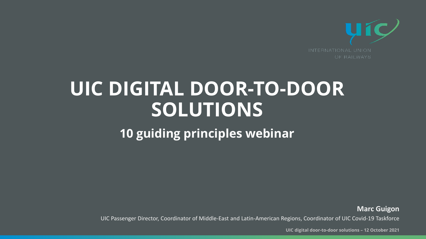# **UIC DIGITAL DOOR-TO-DOOR SOLUTIONS 10 guiding principles webinar**

**UIC digital door-to-door solutions – 12 October 2021**

UIC Passenger Director, Coordinator of Middle-East and Latin-American Regions, Coordinator of UIC Covid-19 Taskforce



**Marc Guigon**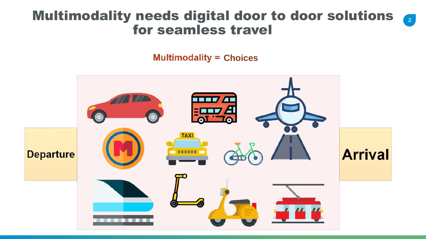#### Multimodality needs digital door to door solutions 2 for seamless travel

#### **Multimodality = Choices**



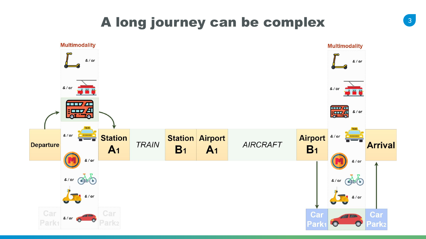## A long journey can be complex



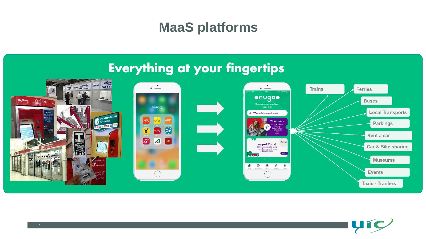



### **MaaS platforms**

#### **Everything at your fingertips**



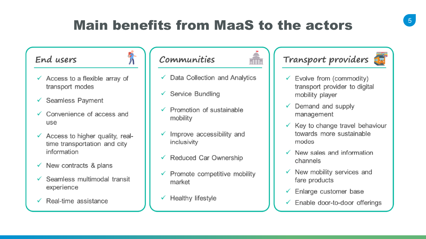### **Main benefits from MaaS to the actors**



- $\checkmark$  Data Collection and Analytics
	-
	- Promotion of sustainable
	- Improve accessibility and
	- Reduced Car Ownership
	- Promote competitive mobility

#### Transport providers E



- Evolve from (commodity) transport provider to digital mobility player
- Demand and supply management
- $\checkmark$  Key to change travel behaviour towards more sustainable modes
- New sales and information channels
- New mobility services and V fare products
- Enlarge customer base V
- $\checkmark$  Enable door-to-door offerings

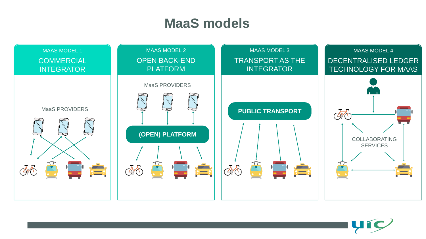

#### **MaaS models**

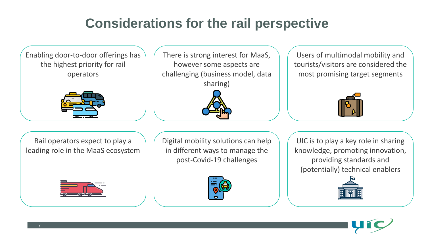## **Considerations for the rail perspective**

UIC is to play a key role in sharing knowledge, promoting innovation, providing standards and (potentially) technical enablers







There is strong interest for MaaS, however some aspects are challenging (business model, data



Users of multimodal mobility and tourists/visitors are considered the most promising target segments



Digital mobility solutions can help in different ways to manage the post-Covid-19 challenges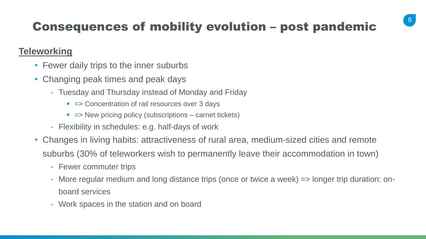

#### Consequences of mobility evolution – post pandemic

#### **Teleworking**

- Fewer daily trips to the inner suburbs
- Changing peak times and peak days
	- Tuesday and Thursday instead of Monday and Friday
		- => Concentration of rail resources over 3 days
		- => New pricing policy (subscriptions carnet tickets)
	- Flexibility in schedules: e.g. half-days of work
- Changes in living habits: attractiveness of rural area, medium-sized cities and remote suburbs (30% of teleworkers wish to permanently leave their accommodation in town)
	- Fewer commuter trips
	- More regular medium and long distance trips (once or twice a week) => longer trip duration: onboard services
	- Work spaces in the station and on board
-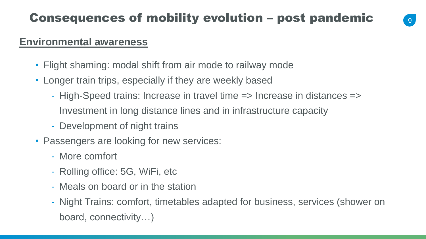

#### **Environmental awareness**

- Flight shaming: modal shift from air mode to railway mode
- Longer train trips, especially if they are weekly based
	- High-Speed trains: Increase in travel time => Increase in distances => Investment in long distance lines and in infrastructure capacity
	- Development of night trains
- Passengers are looking for new services:
	- More comfort
	- Rolling office: 5G, WiFi, etc
	- Meals on board or in the station
	- board, connectivity…)

#### - Night Trains: comfort, timetables adapted for business, services (shower on

#### Consequences of mobility evolution – post pandemic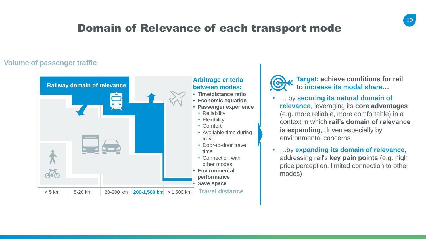





#### Domain of Relevance of each transport mode

**Target: achieve conditions for rail to increase its modal share…**

#### **Volume of passenger traffic**



#### **Arbitrage criteria between modes:**

- **Time/distance ratio** • **Economic equation**
- **Passenger experience**
	- Reliability
	- Flexibility
	- Comfort
	- Available time during travel
	- Door-to-door travel time
- Connection with
- other modes
- **Environmental** 
	- **performance**
- **Save space**
	- **Travel distance**



- … by **securing its natural domain of relevance**, leveraging its **core advantages**  (e.g. more reliable, more comfortable) in a context in which **rail's domain of relevance is expanding**, driven especially by environmental concerns
- …by **expanding its domain of relevance**, addressing rail's **key pain points** (e.g. high price perception, limited connection to other modes)